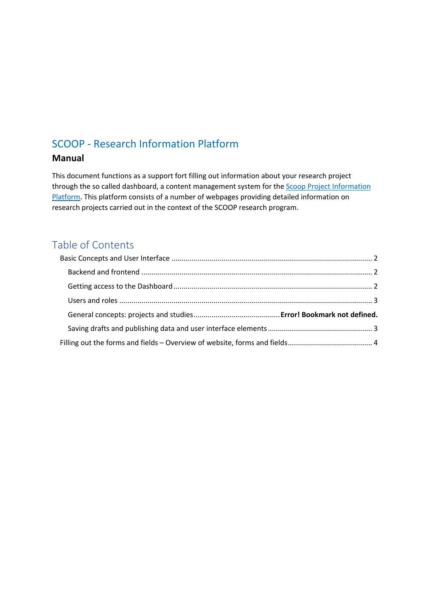# SCOOP - Research Information Platform

## **Manual**

This document functions as a support fort filling out information about your research project through the so called dashboard, a content management system for the **Scoop Project Information** Platform. This platform consists of a number of webpages providing detailed information on research projects carried out in the context of the SCOOP research program.

# Table of Contents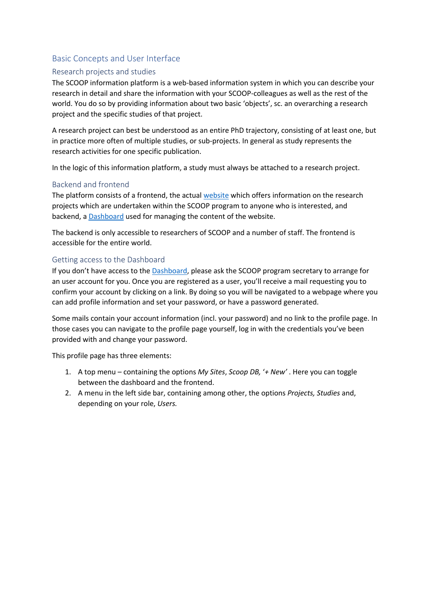## Basic Concepts and User Interface

## Research projects and studies

The SCOOP information platform is a web-based information system in which you can describe your research in detail and share the information with your SCOOP-colleagues as well as the rest of the world. You do so by providing information about two basic 'objects', sc. an overarching a research project and the specific studies of that project.

A research project can best be understood as an entire PhD trajectory, consisting of at least one, but in practice more often of multiple studies, or sub-projects. In general as study represents the research activities for one specific publication.

In the logic of this information platform, a study must always be attached to a research project.

### Backend and frontend

The platform consists of a frontend, the actual website which offers information on the research projects which are undertaken within the SCOOP program to anyone who is interested, and backend, a Dashboard used for managing the content of the website.

The backend is only accessible to researchers of SCOOP and a number of staff. The frontend is accessible for the entire world.

### Getting access to the Dashboard

If you don't have access to the Dashboard, please ask the SCOOP program secretary to arrange for an user account for you. Once you are registered as a user, you'll receive a mail requesting you to confirm your account by clicking on a link. By doing so you will be navigated to a webpage where you can add profile information and set your password, or have a password generated.

Some mails contain your account information (incl. your password) and no link to the profile page. In those cases you can navigate to the profile page yourself, log in with the credentials you've been provided with and change your password.

This profile page has three elements:

- 1. A top menu containing the options *My Sites*, *Scoop DB,* '*+ New'* . Here you can toggle between the dashboard and the frontend.
- 2. A menu in the left side bar, containing among other, the options *Projects, Studies* and, depending on your role, *Users.*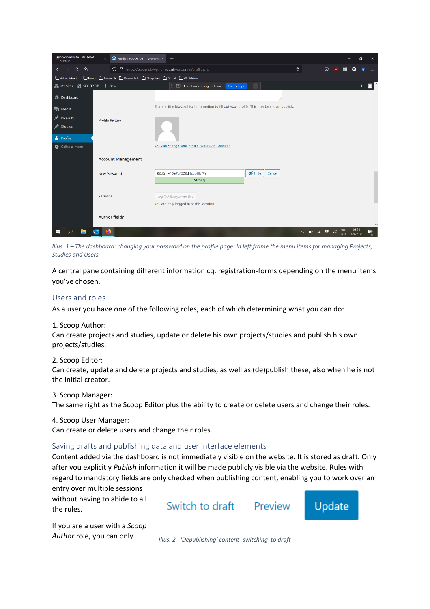| Scoopwebsite   Jitsi Meet<br>AFSPELEN<br>$\times$                               | Profile < SCOOP DB - WordPre: X | $+$                                                                                           |                              |            |   |                           |                   | σ   |   |
|---------------------------------------------------------------------------------|---------------------------------|-----------------------------------------------------------------------------------------------|------------------------------|------------|---|---------------------------|-------------------|-----|---|
| ⋒<br>C<br>$\leftarrow$                                                          | $\circ$                         | A https://scoop-db.wp.hum.uu.nl/wp-admin/profile.php                                          |                              | ☆          | ☺ | <b>up</b>                 |                   |     |   |
| □ Administration □ News □ Research □ Research 2 □ Shopping □ Social □ Worldview |                                 |                                                                                               |                              |            |   |                           |                   |     |   |
| A My Sites A SCOOP DB + New                                                     |                                 | Delen stoppen<br>1 U deelt uw volledige scherm.                                               | $\overline{a}$               |            |   |                           |                   | Hi. |   |
| <b>2</b> Dashboard                                                              |                                 |                                                                                               |                              |            |   |                           |                   |     |   |
| <b>P</b> <sub>1</sub> Media                                                     |                                 | Share a little biographical information to fill out your profile. This may be shown publicly. |                              |            |   |                           |                   |     |   |
| Projects                                                                        | <b>Profile Picture</b>          |                                                                                               |                              |            |   |                           |                   |     |   |
| Studies                                                                         |                                 |                                                                                               |                              |            |   |                           |                   |     |   |
| Profile                                                                         |                                 |                                                                                               |                              |            |   |                           |                   |     |   |
| Collapse menu                                                                   |                                 | You can change your profile picture on Gravatar.                                              |                              |            |   |                           |                   |     |   |
|                                                                                 | <b>Account Management</b>       |                                                                                               |                              |            |   |                           |                   |     |   |
|                                                                                 | <b>New Password</b>             | 8&Cmjv*De7g*52&f4zupUb@Y                                                                      | $\mathcal{D}$ Hide<br>Cancel |            |   |                           |                   |     |   |
|                                                                                 |                                 | <b>Strong</b>                                                                                 |                              |            |   |                           |                   |     |   |
|                                                                                 |                                 |                                                                                               |                              |            |   |                           |                   |     |   |
| <b>Sessions</b>                                                                 |                                 | Log Out Everywhere Else                                                                       |                              |            |   |                           |                   |     |   |
|                                                                                 |                                 | You are only logged in at this location.                                                      |                              |            |   |                           |                   |     |   |
|                                                                                 | <b>Author fields</b>            |                                                                                               |                              |            |   |                           |                   |     |   |
|                                                                                 |                                 |                                                                                               |                              |            |   |                           |                   |     |   |
|                                                                                 |                                 |                                                                                               |                              | △ □ 后梦 (1) |   | <b>NLD</b><br><b>INTL</b> | 09:31<br>2-9-2021 |     | 畼 |

*Illus. 1 – The dashboard: changing your password on the profile page. In left frame the menu items for managing Projects, Studies and Users*

A central pane containing different information cq. registration-forms depending on the menu items you've chosen.

### Users and roles

As a user you have one of the following roles, each of which determining what you can do:

#### 1. Scoop Author:

Can create projects and studies, update or delete his own projects/studies and publish his own projects/studies.

#### 2. Scoop Editor:

Can create, update and delete projects and studies, as well as (de)publish these, also when he is not the initial creator.

#### 3. Scoop Manager:

The same right as the Scoop Editor plus the ability to create or delete users and change their roles.

#### 4. Scoop User Manager:

Can create or delete users and change their roles.

#### Saving drafts and publishing data and user interface elements

Content added via the dashboard is not immediately visible on the website. It is stored as draft. Only after you explicitly *Publish* information it will be made publicly visible via the website. Rules with regard to mandatory fields are only checked when publishing content, enabling you to work over an

entry over multiple sessions without having to abide to all the rules.

If you are a user with a *Scoop* 

Switch to draft Preview Update

*Author* role, you can only *Illus. 2 - 'Depublishing' content -switching to draft*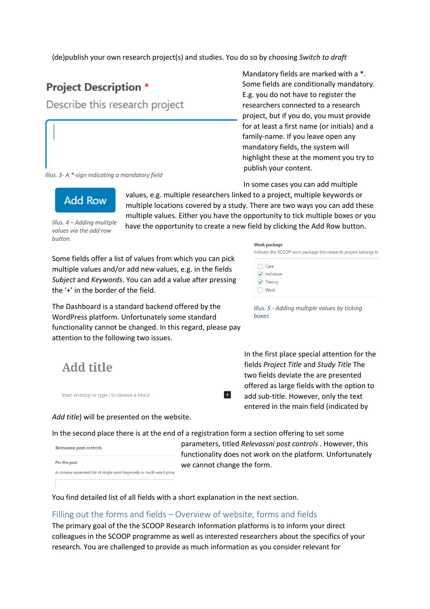(de)publish your own research project(s) and studies. You do so by choosing *Switch to draft* 

## **Project Description \***

Describe this research project

#### *Illus. 3- A \*-sign indicating a mandatory field*

Mandatory fields are marked with a \*. Some fields are conditionally mandatory. E.g. you do not have to register the researchers connected to a research project, but if you do, you must provide for at least a first name (or initials) and a family-name. If you leave open any mandatory fields, the system will highlight these at the moment you try to publish your content.

In some cases you can add multiple

values, e.g. multiple researchers linked to a project, multiple keywords or multiple locations covered by a study. There are two ways you can add these multiple values. Either you have the opportunity to tick multiple boxes or you have the opportunity to create a new field by clicking the Add Row button.

*button.*

Some fields offer a list of values from which you can pick multiple values and/or add new values, e.g. in the fields *Subject* and *Keywords*. You can add a value after pressing the '+' in the border of the field.

The Dashboard is a standard backend offered by the WordPress platform. Unfortunately some standard functionality cannot be changed. In this regard, please pay attention to the following two issues.

# Add title

Start writing or type / to choose a block

*Add title*) will be presented on the website.

 $+$ 

In the second place there is at the end of a registration form a section offering to set some

Relevanssi post controls Pin this post A comma-separated list of single word keywords or multi-word phras parameters, titled *Relevassni post controls* . However, this functionality does not work on the platform. Unfortunately we cannot change the form.

You find detailed list of all fields with a short explanation in the next section.

## Filling out the forms and fields – Overview of website, forms and fields

The primary goal of the the SCOOP Research Information platforms is to inform your direct colleagues in the SCOOP programme as well as interested researchers about the specifics of your research. You are challenged to provide as much information as you consider relevant for

## *Illus. 4 – Adding mulitple values via the add row*

**Add Row** 

Work package

Indicate the SCOOP work package this research project belongs to  $\bigcap$  Care  $\sqrt{\phantom{a}}$  Inclusion  $\sqrt{\phantom{a}}$  Theory  $\bigcap$  Work

*Illus. 5 - Adding multiple values by ticking boxes*

In the first place special attention for the fields *Project Title* and *Study Title* The two fields deviate the are presented offered as large fields with the option to add sub-title. However, only the text entered in the main field (indicated by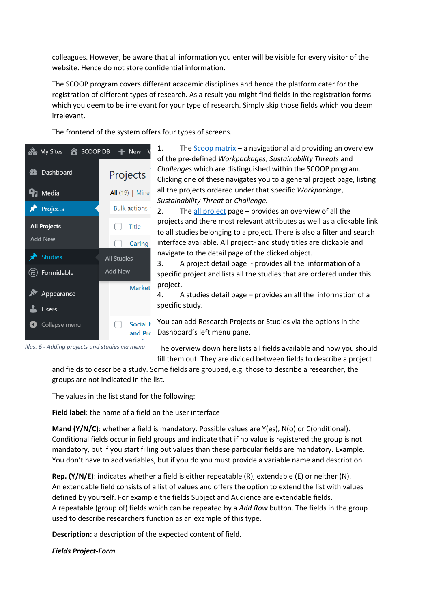colleagues. However, be aware that all information you enter will be visible for every visitor of the website. Hence do not store confidential information.

The SCOOP program covers different academic disciplines and hence the platform cater for the registration of different types of research. As a result you might find fields in the registration forms which you deem to be irrelevant for your type of research. Simply skip those fields which you deem irrelevant.

The frontend of the system offers four types of screens.



1. The  $S_{COO}$  matrix – a navigational aid providing an overview of the pre-defined *Workpackages*, *Sustainability Threats* and *Challenges* which are distinguished within the SCOOP program. Clicking one of these navigates you to a general project page, listing all the projects ordered under that specific *Workpackage*, *Sustainability Threat* or *Challenge.*

2. The all project page – provides an overview of all the projects and there most relevant attributes as well as a clickable link to all studies belonging to a project. There is also a filter and search interface available. All project- and study titles are clickable and navigate to the detail page of the clicked object.

3. A project detail page - provides all the information of a specific project and lists all the studies that are ordered under this project.

4. A studies detail page – provides an all the information of a specific study.

You can add Research Projects or Studies via the options in the and Prc Dashboard's left menu pane.

*Illus. 6 - Adding projects and studies via menu*

The overview down here lists all fields available and how you should fill them out. They are divided between fields to describe a project

and fields to describe a study. Some fields are grouped, e.g. those to describe a researcher, the groups are not indicated in the list.

The values in the list stand for the following:

**Field label**: the name of a field on the user interface

**Mand (Y/N/C)**: whether a field is mandatory. Possible values are Y(es), N(o) or C(onditional). Conditional fields occur in field groups and indicate that if no value is registered the group is not mandatory, but if you start filling out values than these particular fields are mandatory. Example. You don't have to add variables, but if you do you must provide a variable name and description.

**Rep. (Y/N/E)**: indicates whether a field is either repeatable (R), extendable (E) or neither (N). An extendable field consists of a list of values and offers the option to extend the list with values defined by yourself. For example the fields Subject and Audience are extendable fields. A repeatable (group of) fields which can be repeated by a *Add Row* button. The fields in the group used to describe researchers function as an example of this type.

**Description:** a description of the expected content of field.

*Fields Project-Form*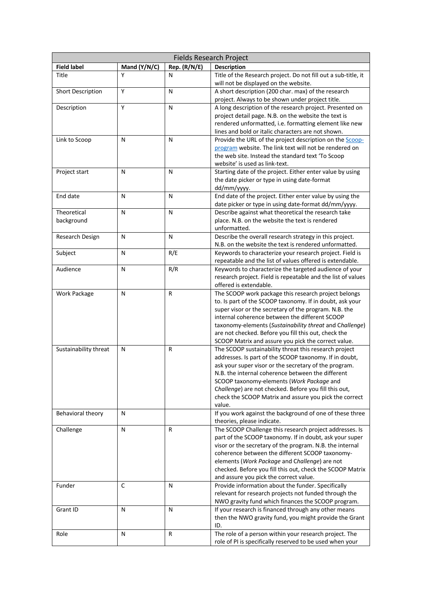| <b>Fields Research Project</b> |              |              |                                                                                                                 |
|--------------------------------|--------------|--------------|-----------------------------------------------------------------------------------------------------------------|
| <b>Field label</b>             | Mand (Y/N/C) | Rep. (R/N/E) | <b>Description</b>                                                                                              |
| Title                          | Υ            | N            | Title of the Research project. Do not fill out a sub-title, it                                                  |
|                                |              |              | will not be displayed on the website.                                                                           |
| Short Description              | Y            | N            | A short description (200 char. max) of the research                                                             |
|                                |              |              | project. Always to be shown under project title.                                                                |
| Description                    | Y            | N            | A long description of the research project. Presented on                                                        |
|                                |              |              | project detail page. N.B. on the website the text is                                                            |
|                                |              |              | rendered unformatted, i.e. formatting element like new                                                          |
|                                |              |              | lines and bold or italic characters are not shown.                                                              |
| Link to Scoop                  | N            | N            | Provide the URL of the project description on the Scoop-                                                        |
|                                |              |              | program website. The link text will not be rendered on                                                          |
|                                |              |              | the web site. Instead the standard text 'To Scoop                                                               |
|                                |              |              | website' is used as link-text.                                                                                  |
| Project start                  | N            | N            | Starting date of the project. Either enter value by using                                                       |
|                                |              |              | the date picker or type in using date-format                                                                    |
|                                |              |              | dd/mm/yyyy.                                                                                                     |
| End date                       | N            | N            | End date of the project. Either enter value by using the                                                        |
|                                |              |              | date picker or type in using date-format dd/mm/yyyy.                                                            |
| Theoretical                    | N            | N            | Describe against what theoretical the research take                                                             |
| background                     |              |              | place. N.B. on the website the text is rendered                                                                 |
|                                |              |              | unformatted.                                                                                                    |
| Research Design                | N            | N            | Describe the overall research strategy in this project.                                                         |
|                                |              |              | N.B. on the website the text is rendered unformatted.                                                           |
| Subject                        | N            | R/E          | Keywords to characterize your research project. Field is                                                        |
|                                |              |              | repeatable and the list of values offered is extendable.                                                        |
| Audience                       | N            | R/R          | Keywords to characterize the targeted audience of your                                                          |
|                                |              |              | research project. Field is repeatable and the list of values                                                    |
|                                |              |              | offered is extendable.                                                                                          |
| Work Package                   | N            | R            | The SCOOP work package this research project belongs                                                            |
|                                |              |              | to. Is part of the SCOOP taxonomy. If in doubt, ask your                                                        |
|                                |              |              | super visor or the secretary of the program. N.B. the                                                           |
|                                |              |              | internal coherence between the different SCOOP                                                                  |
|                                |              |              | taxonomy-elements (Sustainability threat and Challenge)                                                         |
|                                |              |              | are not checked. Before you fill this out, check the                                                            |
|                                |              |              | SCOOP Matrix and assure you pick the correct value.                                                             |
| Sustainability threat          | N            | R            | The SCOOP sustainability threat this research project<br>addresses. Is part of the SCOOP taxonomy. If in doubt, |
|                                |              |              | ask your super visor or the secretary of the program.                                                           |
|                                |              |              | N.B. the internal coherence between the different                                                               |
|                                |              |              | SCOOP taxonomy-elements (Work Package and                                                                       |
|                                |              |              | Challenge) are not checked. Before you fill this out,                                                           |
|                                |              |              | check the SCOOP Matrix and assure you pick the correct                                                          |
|                                |              |              | value.                                                                                                          |
| Behavioral theory              | N            |              | If you work against the background of one of these three                                                        |
|                                |              |              | theories, please indicate.                                                                                      |
| Challenge                      | N            | R            | The SCOOP Challenge this research project addresses. Is                                                         |
|                                |              |              | part of the SCOOP taxonomy. If in doubt, ask your super                                                         |
|                                |              |              | visor or the secretary of the program. N.B. the internal                                                        |
|                                |              |              | coherence between the different SCOOP taxonomy-                                                                 |
|                                |              |              | elements (Work Package and Challenge) are not                                                                   |
|                                |              |              | checked. Before you fill this out, check the SCOOP Matrix                                                       |
|                                |              |              | and assure you pick the correct value.                                                                          |
| Funder                         | $\mathsf{C}$ | N            | Provide information about the funder. Specifically                                                              |
|                                |              |              | relevant for research projects not funded through the                                                           |
|                                |              |              | NWO gravity fund which finances the SCOOP program.                                                              |
| Grant ID                       | N            | N.           | If your research is financed through any other means                                                            |
|                                |              |              | then the NWO gravity fund, you might provide the Grant                                                          |
|                                |              |              | ID.                                                                                                             |
| Role                           | N            | R            | The role of a person within your research project. The                                                          |
|                                |              |              | role of PI is specifically reserved to be used when your                                                        |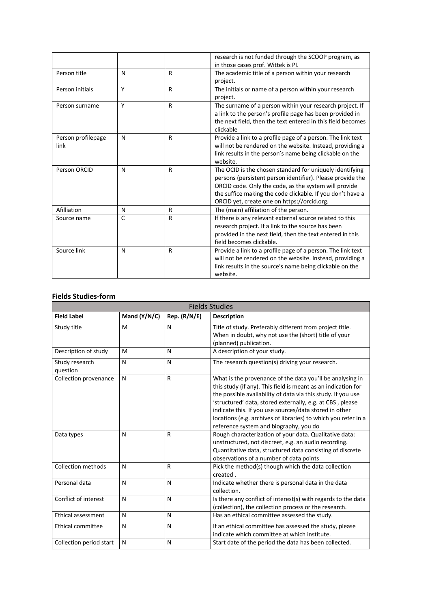|                            |   |   | research is not funded through the SCOOP program, as<br>in those cases prof. Wittek is PI.                                                                                                                                                                                                   |
|----------------------------|---|---|----------------------------------------------------------------------------------------------------------------------------------------------------------------------------------------------------------------------------------------------------------------------------------------------|
| Person title               | N | R | The academic title of a person within your research<br>project.                                                                                                                                                                                                                              |
| Person initials            | Y | R | The initials or name of a person within your research<br>project.                                                                                                                                                                                                                            |
| Person surname             | Y | R | The surname of a person within your research project. If<br>a link to the person's profile page has been provided in<br>the next field, then the text entered in this field becomes<br>clickable                                                                                             |
| Person profilepage<br>link | N | R | Provide a link to a profile page of a person. The link text<br>will not be rendered on the website. Instead, providing a<br>link results in the person's name being clickable on the<br>website.                                                                                             |
| Person ORCID               | N | R | The OCID is the chosen standard for uniquely identifying<br>persons (persistent person identifier). Please provide the<br>ORCID code. Only the code, as the system will provide<br>the suffice making the code clickable. If you don't have a<br>ORCID yet, create one on https://orcid.org. |
| Afilliation                | N | R | The (main) affiliation of the person.                                                                                                                                                                                                                                                        |
| Source name                | C | R | If there is any relevant external source related to this<br>research project. If a link to the source has been<br>provided in the next field, then the text entered in this<br>field becomes clickable.                                                                                      |
| Source link                | N | R | Provide a link to a profile page of a person. The link text<br>will not be rendered on the website. Instead, providing a<br>link results in the source's name being clickable on the<br>website.                                                                                             |

### **Fields Studies-form**

| <b>Fields Studies</b>      |              |              |                                                                                                                                                                                                                                                                                                                                                                                                                               |
|----------------------------|--------------|--------------|-------------------------------------------------------------------------------------------------------------------------------------------------------------------------------------------------------------------------------------------------------------------------------------------------------------------------------------------------------------------------------------------------------------------------------|
| <b>Field Label</b>         | Mand (Y/N/C) | Rep. (R/N/E) | <b>Description</b>                                                                                                                                                                                                                                                                                                                                                                                                            |
| Study title                | M            | N            | Title of study. Preferably different from project title.<br>When in doubt, why not use the (short) title of your<br>(planned) publication.                                                                                                                                                                                                                                                                                    |
| Description of study       | M            | N            | A description of your study.                                                                                                                                                                                                                                                                                                                                                                                                  |
| Study research<br>question | N            | N            | The research question(s) driving your research.                                                                                                                                                                                                                                                                                                                                                                               |
| Collection provenance      | N            | R            | What is the provenance of the data you'll be analysing in<br>this study (if any). This field is meant as an indication for<br>the possible availability of data via this study. If you use<br>'structured' data, stored externally, e.g. at CBS, please<br>indicate this. If you use sources/data stored in other<br>locations (e.g. archives of libraries) to which you refer in a<br>reference system and biography, you do |
| Data types                 | N            | $\mathsf{R}$ | Rough characterization of your data. Qualitative data:<br>unstructured, not discreet, e.g. an audio recording.<br>Quantitative data, structured data consisting of discrete<br>observations of a number of data points                                                                                                                                                                                                        |
| Collection methods         | N            | $\mathsf{R}$ | Pick the method(s) though which the data collection<br>created.                                                                                                                                                                                                                                                                                                                                                               |
| Personal data              | N            | $\mathsf{N}$ | Indicate whether there is personal data in the data<br>collection.                                                                                                                                                                                                                                                                                                                                                            |
| Conflict of interest       | N            | N            | Is there any conflict of interest(s) with regards to the data<br>(collection), the collection process or the research.                                                                                                                                                                                                                                                                                                        |
| Ethical assessment         | N            | N            | Has an ethical committee assessed the study.                                                                                                                                                                                                                                                                                                                                                                                  |
| Ethical committee          | N            | N            | If an ethical committee has assessed the study, please<br>indicate which committee at which institute.                                                                                                                                                                                                                                                                                                                        |
| Collection period start    | N            | N            | Start date of the period the data has been collected.                                                                                                                                                                                                                                                                                                                                                                         |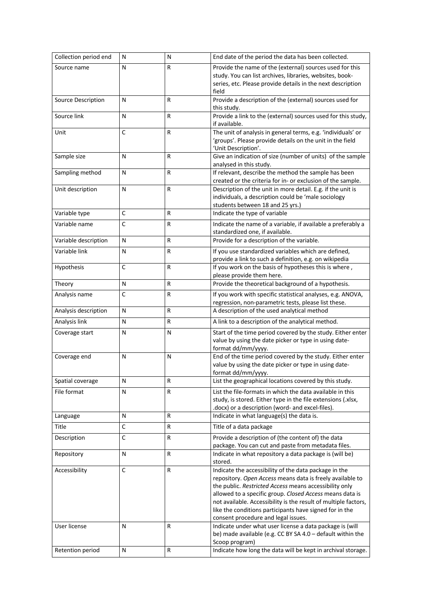| Collection period end | N            | N            | End date of the period the data has been collected.                                                                                                                                                                                                                                                                                                                                                           |
|-----------------------|--------------|--------------|---------------------------------------------------------------------------------------------------------------------------------------------------------------------------------------------------------------------------------------------------------------------------------------------------------------------------------------------------------------------------------------------------------------|
| Source name           | N            | R            | Provide the name of the (external) sources used for this<br>study. You can list archives, libraries, websites, book-<br>series, etc. Please provide details in the next description<br>field                                                                                                                                                                                                                  |
| Source Description    | N            | R            | Provide a description of the (external) sources used for<br>this study.                                                                                                                                                                                                                                                                                                                                       |
| Source link           | N            | R            | Provide a link to the (external) sources used for this study,<br>if available.                                                                                                                                                                                                                                                                                                                                |
| Unit                  | C            | R            | The unit of analysis in general terms, e.g. 'individuals' or<br>'groups'. Please provide details on the unit in the field<br>'Unit Description'.                                                                                                                                                                                                                                                              |
| Sample size           | Ν            | R            | Give an indication of size (number of units) of the sample<br>analysed in this study.                                                                                                                                                                                                                                                                                                                         |
| Sampling method       | N            | $\mathsf{R}$ | If relevant, describe the method the sample has been<br>created or the criteria for in- or exclusion of the sample.                                                                                                                                                                                                                                                                                           |
| Unit description      | N            | R            | Description of the unit in more detail. E.g. if the unit is<br>individuals, a description could be 'male sociology<br>students between 18 and 25 yrs.)                                                                                                                                                                                                                                                        |
| Variable type         | C            | R            | Indicate the type of variable                                                                                                                                                                                                                                                                                                                                                                                 |
| Variable name         | C            | R            | Indicate the name of a variable, if available a preferably a<br>standardized one, if available.                                                                                                                                                                                                                                                                                                               |
| Variable description  | Ν            | R            | Provide for a description of the variable.                                                                                                                                                                                                                                                                                                                                                                    |
| Variable link         | N            | R            | If you use standardized variables which are defined,<br>provide a link to such a definition, e.g. on wikipedia                                                                                                                                                                                                                                                                                                |
| Hypothesis            | C            | R            | If you work on the basis of hypotheses this is where,<br>please provide them here.                                                                                                                                                                                                                                                                                                                            |
| Theory                | N            | R            | Provide the theoretical background of a hypothesis.                                                                                                                                                                                                                                                                                                                                                           |
| Analysis name         | $\mathsf{C}$ | R            | If you work with specific statistical analyses, e.g. ANOVA,<br>regression, non-parametric tests, please list these.                                                                                                                                                                                                                                                                                           |
| Analysis description  | N            | R            | A description of the used analytical method                                                                                                                                                                                                                                                                                                                                                                   |
| Analysis link         | N            | R            | A link to a description of the analytical method.                                                                                                                                                                                                                                                                                                                                                             |
| Coverage start        | N            | N            | Start of the time period covered by the study. Either enter<br>value by using the date picker or type in using date-<br>format dd/mm/yyyy.                                                                                                                                                                                                                                                                    |
| Coverage end          | N            | N            | End of the time period covered by the study. Either enter<br>value by using the date picker or type in using date-<br>format dd/mm/yyyy.                                                                                                                                                                                                                                                                      |
| Spatial coverage      | Ν            | R            | List the geographical locations covered by this study.                                                                                                                                                                                                                                                                                                                                                        |
| File format           | N            | R            | List the file-formats in which the data available in this<br>study, is stored. Either type in the file extensions (.xlsx,<br>.docx) or a description (word- and excel-files).                                                                                                                                                                                                                                 |
| Language              | N            | R            | Indicate in what language(s) the data is.                                                                                                                                                                                                                                                                                                                                                                     |
| <b>Title</b>          | C            | ${\sf R}$    | Title of a data package                                                                                                                                                                                                                                                                                                                                                                                       |
| Description           | C            | $\mathsf R$  | Provide a description of (the content of) the data<br>package. You can cut and paste from metadata files.                                                                                                                                                                                                                                                                                                     |
| Repository            | N            | R            | Indicate in what repository a data package is (will be)<br>stored.                                                                                                                                                                                                                                                                                                                                            |
| Accessibility         | $\mathsf C$  | $\mathsf{R}$ | Indicate the accessibility of the data package in the<br>repository. Open Access means data is freely available to<br>the public. Restricted Access means accessibility only<br>allowed to a specific group. Closed Access means data is<br>not available. Accessibility is the result of multiple factors,<br>like the conditions participants have signed for in the<br>consent procedure and legal issues. |
| User license          | N            | R            | Indicate under what user license a data package is (will<br>be) made available (e.g. CC BY SA 4.0 - default within the<br>Scoop program)                                                                                                                                                                                                                                                                      |
| Retention period      | N            | ${\sf R}$    | Indicate how long the data will be kept in archival storage.                                                                                                                                                                                                                                                                                                                                                  |